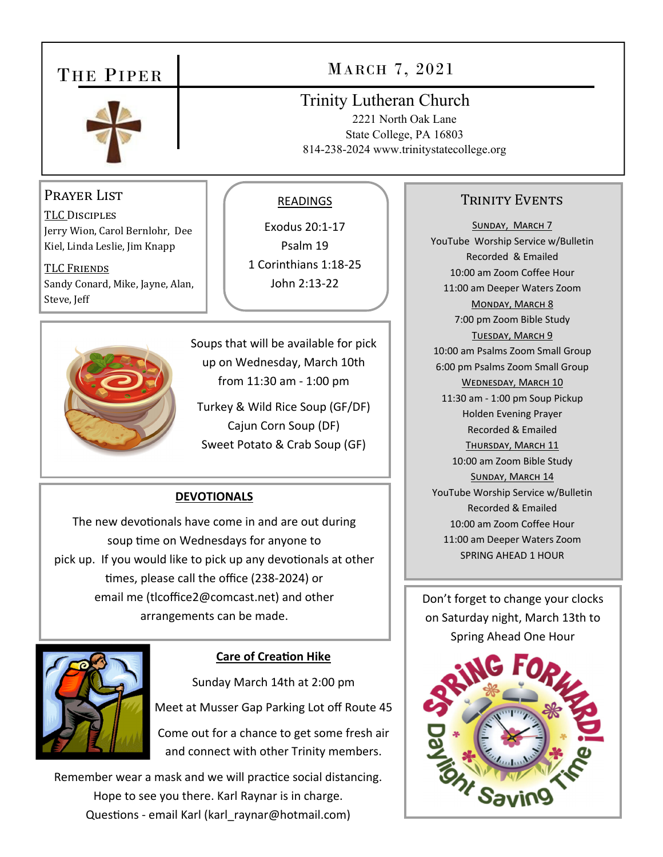### THE PIPER



## MARCH 7, 2021

#### Trinity Lutheran Church

2221 North Oak Lane State College, PA 16803 814-238-2024 www.trinitystatecollege.org

#### Prayer List

TLC DISCIPLES Jerry Wion, Carol Bernlohr, Dee Kiel, Linda Leslie, Jim Knapp

TLC FRIENDS Sandy Conard, Mike, Jayne, Alan, Steve, Jeff



#### READINGS

Exodus 20:1‐17 Psalm 19 1 Corinthians 1:18‐25 John 2:13‐22

Soups that will be available for pick up on Wednesday, March 10th from 11:30 am ‐ 1:00 pm

Turkey & Wild Rice Soup (GF/DF) Cajun Corn Soup (DF) Sweet Potato & Crab Soup (GF)

#### **DEVOTIONALS**

The new devotionals have come in and are out during soup time on Wednesdays for anyone to pick up. If you would like to pick up any devotionals at other times, please call the office (238-2024) or email me (tlcoffice2@comcast.net) and other arrangements can be made.



#### **Care of CreaƟon Hike**

Sunday March 14th at 2:00 pm Meet at Musser Gap Parking Lot off Route 45 Come out for a chance to get some fresh air and connect with other Trinity members.

Remember wear a mask and we will practice social distancing. Hope to see you there. Karl Raynar is in charge. Questions - email Karl (karl raynar@hotmail.com)

#### TRINITY EVENTS

SUNDAY, MARCH 7 YouTube Worship Service w/Bulletin Recorded & Emailed 10:00 am Zoom Coffee Hour 11:00 am Deeper Waters Zoom MONDAY, MARCH 8 7:00 pm Zoom Bible Study TUESDAY, MARCH 9 10:00 am Psalms Zoom Small Group 6:00 pm Psalms Zoom Small Group WEDNESDAY, MARCH 10 11:30 am ‐ 1:00 pm Soup Pickup Holden Evening Prayer Recorded & Emailed THURSDAY, MARCH 11 10:00 am Zoom Bible Study SUNDAY, MARCH 14 YouTube Worship Service w/Bulletin Recorded & Emailed 10:00 am Zoom Coffee Hour 11:00 am Deeper Waters Zoom SPRING AHEAD 1 HOUR

Don't forget to change your clocks on Saturday night, March 13th to Spring Ahead One Hour

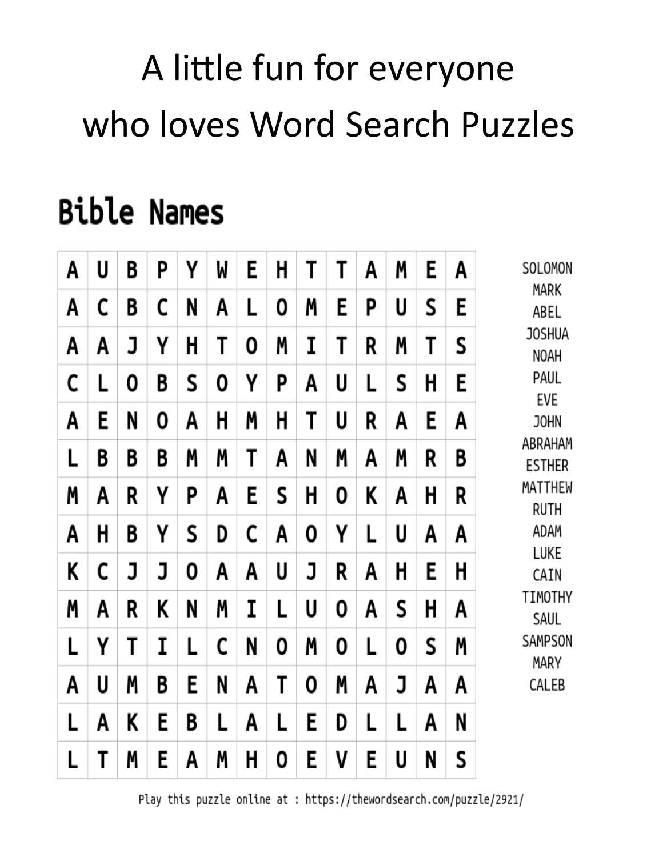# A little fun for everyone who loves Word Search Puzzles

# **Bible Names**

| A | U | B | Ρ | γ | W | E | H | T | T | A | Μ | E | A | SOLOMON<br>MARK<br>ABEL<br><b>JOSHUA</b><br>NOAH<br>PAUL<br>EVE<br><b>JOHN</b><br>ABRAHAM<br><b>ESTHER</b><br>MATTHEW<br>ruth<br>ADAM<br>LUKE<br>CAIN<br>TIMOTHY<br>SAUL<br>SAMPSON<br>MARY<br>CALEB |
|---|---|---|---|---|---|---|---|---|---|---|---|---|---|------------------------------------------------------------------------------------------------------------------------------------------------------------------------------------------------------|
| A | C | B | C | N | A | L | 0 | M | E | P | U | S | E |                                                                                                                                                                                                      |
| A | A | J | Υ | H | T | 0 | M | I | T | R | Μ | T | S |                                                                                                                                                                                                      |
| C | L | 0 | B | S | 0 | Υ | Ρ | A | U | L | S | H | E |                                                                                                                                                                                                      |
| A | E | N | 0 | A | H | M | H | T | U | R | A | E | A |                                                                                                                                                                                                      |
| L | B | B | B | M | Μ | T | A | N | M | Α | M | R | B |                                                                                                                                                                                                      |
| Μ | A | R | Υ | P | A | E | S | H | 0 | K | A | Η | R |                                                                                                                                                                                                      |
| A | H | B | Υ | S | D | C | A | 0 | Υ | L | U | A | A |                                                                                                                                                                                                      |
| K | C | J | J | 0 | A | A | U | J | R | A | H | E | H |                                                                                                                                                                                                      |
| Μ | A | R | K | N | Μ | I | L | U | 0 | A | S | Η | A |                                                                                                                                                                                                      |
| L | Υ | T | I | L | C | N | 0 | Μ | 0 | L | 0 | S | Μ |                                                                                                                                                                                                      |
| A | U | M | B | E | N | A | T | 0 | Μ | Α | J | A | A |                                                                                                                                                                                                      |
| L | A | K | E | B | L | Α | L | E | D | L | L | A | N |                                                                                                                                                                                                      |
| L | T | Μ | E | A | M | H | 0 | E | ٧ | E | U | N | S |                                                                                                                                                                                                      |

Play this puzzle online at : https://thewordsearch.com/puzzle/2921/